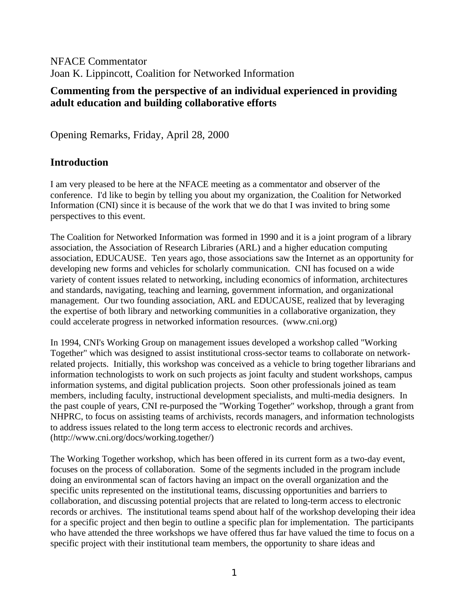NFACE Commentator Joan K. Lippincott, Coalition for Networked Information

### **Commenting from the perspective of an individual experienced in providing adult education and building collaborative efforts**

Opening Remarks, Friday, April 28, 2000

## **Introduction**

I am very pleased to be here at the NFACE meeting as a commentator and observer of the conference. I'd like to begin by telling you about my organization, the Coalition for Networked Information (CNI) since it is because of the work that we do that I was invited to bring some perspectives to this event.

The Coalition for Networked Information was formed in 1990 and it is a joint program of a library association, the Association of Research Libraries (ARL) and a higher education computing association, EDUCAUSE. Ten years ago, those associations saw the Internet as an opportunity for developing new forms and vehicles for scholarly communication. CNI has focused on a wide variety of content issues related to networking, including economics of information, architectures and standards, navigating, teaching and learning, government information, and organizational management. Our two founding association, ARL and EDUCAUSE, realized that by leveraging the expertise of both library and networking communities in a collaborative organization, they could accelerate progress in networked information resources. (www.cni.org)

In 1994, CNI's Working Group on management issues developed a workshop called "Working Together" which was designed to assist institutional cross-sector teams to collaborate on networkrelated projects. Initially, this workshop was conceived as a vehicle to bring together librarians and information technologists to work on such projects as joint faculty and student workshops, campus information systems, and digital publication projects. Soon other professionals joined as team members, including faculty, instructional development specialists, and multi-media designers. In the past couple of years, CNI re-purposed the "Working Together" workshop, through a grant from NHPRC, to focus on assisting teams of archivists, records managers, and information technologists to address issues related to the long term access to electronic records and archives. (http://www.cni.org/docs/working.together/)

The Working Together workshop, which has been offered in its current form as a two-day event, focuses on the process of collaboration. Some of the segments included in the program include doing an environmental scan of factors having an impact on the overall organization and the specific units represented on the institutional teams, discussing opportunities and barriers to collaboration, and discussing potential projects that are related to long-term access to electronic records or archives. The institutional teams spend about half of the workshop developing their idea for a specific project and then begin to outline a specific plan for implementation. The participants who have attended the three workshops we have offered thus far have valued the time to focus on a specific project with their institutional team members, the opportunity to share ideas and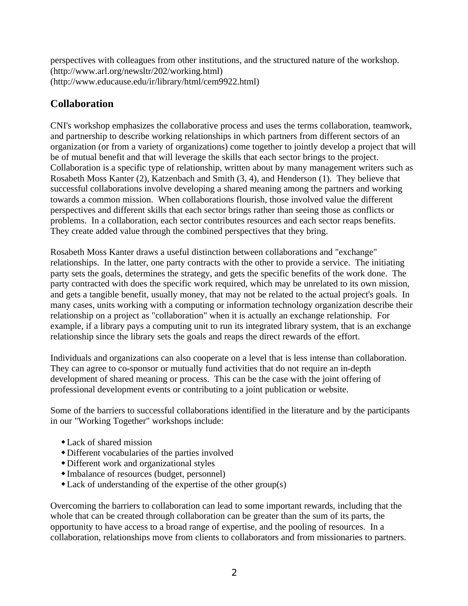perspectives with colleagues from other institutions, and the structured nature of the workshop. (http://www.arl.org/newsltr/202/working.html) (http://www.educause.edu/ir/library/html/cem9922.html)

# **Collaboration**

CNI's workshop emphasizes the collaborative process and uses the terms collaboration, teamwork, and partnership to describe working relationships in which partners from different sectors of an organization (or from a variety of organizations) come together to jointly develop a project that will be of mutual benefit and that will leverage the skills that each sector brings to the project. Collaboration is a specific type of relationship, written about by many management writers such as Rosabeth Moss Kanter (2), Katzenbach and Smith (3, 4), and Henderson (1). They believe that successful collaborations involve developing a shared meaning among the partners and working towards a common mission. When collaborations flourish, those involved value the different perspectives and different skills that each sector brings rather than seeing those as conflicts or problems. In a collaboration, each sector contributes resources and each sector reaps benefits. They create added value through the combined perspectives that they bring.

Rosabeth Moss Kanter draws a useful distinction between collaborations and "exchange" relationships. In the latter, one party contracts with the other to provide a service. The initiating party sets the goals, determines the strategy, and gets the specific benefits of the work done. The party contracted with does the specific work required, which may be unrelated to its own mission, and gets a tangible benefit, usually money, that may not be related to the actual project's goals. In many cases, units working with a computing or information technology organization describe their relationship on a project as "collaboration" when it is actually an exchange relationship. For example, if a library pays a computing unit to run its integrated library system, that is an exchange relationship since the library sets the goals and reaps the direct rewards of the effort.

Individuals and organizations can also cooperate on a level that is less intense than collaboration. They can agree to co-sponsor or mutually fund activities that do not require an in-depth development of shared meaning or process. This can be the case with the joint offering of professional development events or contributing to a joint publication or website.

Some of the barriers to successful collaborations identified in the literature and by the participants in our "Working Together" workshops include:

- $\triangle$  Lack of shared mission
- wDifferent vocabularies of the parties involved
- wDifferent work and organizational styles
- wImbalance of resources (budget, personnel)
- $\triangle$ Lack of understanding of the expertise of the other group(s)

Overcoming the barriers to collaboration can lead to some important rewards, including that the whole that can be created through collaboration can be greater than the sum of its parts, the opportunity to have access to a broad range of expertise, and the pooling of resources. In a collaboration, relationships move from clients to collaborators and from missionaries to partners.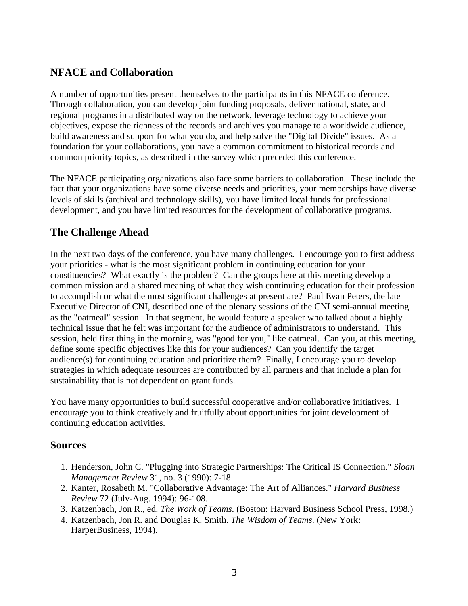### **NFACE and Collaboration**

A number of opportunities present themselves to the participants in this NFACE conference. Through collaboration, you can develop joint funding proposals, deliver national, state, and regional programs in a distributed way on the network, leverage technology to achieve your objectives, expose the richness of the records and archives you manage to a worldwide audience, build awareness and support for what you do, and help solve the "Digital Divide" issues. As a foundation for your collaborations, you have a common commitment to historical records and common priority topics, as described in the survey which preceded this conference.

The NFACE participating organizations also face some barriers to collaboration. These include the fact that your organizations have some diverse needs and priorities, your memberships have diverse levels of skills (archival and technology skills), you have limited local funds for professional development, and you have limited resources for the development of collaborative programs.

### **The Challenge Ahead**

In the next two days of the conference, you have many challenges. I encourage you to first address your priorities - what is the most significant problem in continuing education for your constituencies? What exactly is the problem? Can the groups here at this meeting develop a common mission and a shared meaning of what they wish continuing education for their profession to accomplish or what the most significant challenges at present are? Paul Evan Peters, the late Executive Director of CNI, described one of the plenary sessions of the CNI semi-annual meeting as the "oatmeal" session. In that segment, he would feature a speaker who talked about a highly technical issue that he felt was important for the audience of administrators to understand. This session, held first thing in the morning, was "good for you," like oatmeal. Can you, at this meeting, define some specific objectives like this for your audiences? Can you identify the target audience(s) for continuing education and prioritize them? Finally, I encourage you to develop strategies in which adequate resources are contributed by all partners and that include a plan for sustainability that is not dependent on grant funds.

You have many opportunities to build successful cooperative and/or collaborative initiatives. I encourage you to think creatively and fruitfully about opportunities for joint development of continuing education activities.

#### **Sources**

- 1. Henderson, John C. "Plugging into Strategic Partnerships: The Critical IS Connection." *Sloan Management Review* 31, no. 3 (1990): 7-18.
- 2. Kanter, Rosabeth M. "Collaborative Advantage: The Art of Alliances." *Harvard Business Review* 72 (July-Aug. 1994): 96-108.
- 3. Katzenbach, Jon R., ed. *The Work of Teams*. (Boston: Harvard Business School Press, 1998.)
- 4. Katzenbach, Jon R. and Douglas K. Smith. *The Wisdom of Teams*. (New York: HarperBusiness, 1994).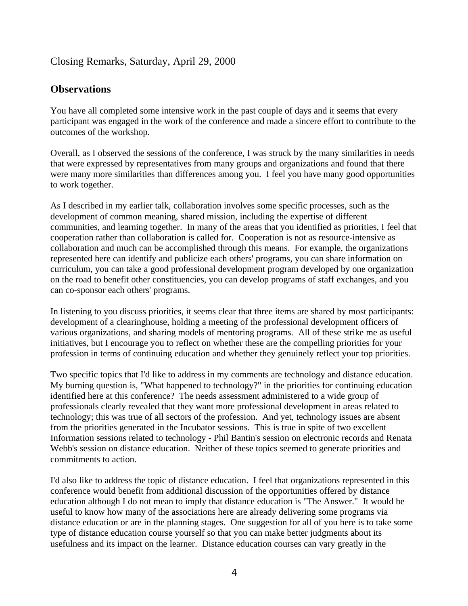#### Closing Remarks, Saturday, April 29, 2000

#### **Observations**

You have all completed some intensive work in the past couple of days and it seems that every participant was engaged in the work of the conference and made a sincere effort to contribute to the outcomes of the workshop.

Overall, as I observed the sessions of the conference, I was struck by the many similarities in needs that were expressed by representatives from many groups and organizations and found that there were many more similarities than differences among you. I feel you have many good opportunities to work together.

As I described in my earlier talk, collaboration involves some specific processes, such as the development of common meaning, shared mission, including the expertise of different communities, and learning together. In many of the areas that you identified as priorities, I feel that cooperation rather than collaboration is called for. Cooperation is not as resource-intensive as collaboration and much can be accomplished through this means. For example, the organizations represented here can identify and publicize each others' programs, you can share information on curriculum, you can take a good professional development program developed by one organization on the road to benefit other constituencies, you can develop programs of staff exchanges, and you can co-sponsor each others' programs.

In listening to you discuss priorities, it seems clear that three items are shared by most participants: development of a clearinghouse, holding a meeting of the professional development officers of various organizations, and sharing models of mentoring programs. All of these strike me as useful initiatives, but I encourage you to reflect on whether these are the compelling priorities for your profession in terms of continuing education and whether they genuinely reflect your top priorities.

Two specific topics that I'd like to address in my comments are technology and distance education. My burning question is, "What happened to technology?" in the priorities for continuing education identified here at this conference? The needs assessment administered to a wide group of professionals clearly revealed that they want more professional development in areas related to technology; this was true of all sectors of the profession. And yet, technology issues are absent from the priorities generated in the Incubator sessions. This is true in spite of two excellent Information sessions related to technology - Phil Bantin's session on electronic records and Renata Webb's session on distance education. Neither of these topics seemed to generate priorities and commitments to action.

I'd also like to address the topic of distance education. I feel that organizations represented in this conference would benefit from additional discussion of the opportunities offered by distance education although I do not mean to imply that distance education is "The Answer." It would be useful to know how many of the associations here are already delivering some programs via distance education or are in the planning stages. One suggestion for all of you here is to take some type of distance education course yourself so that you can make better judgments about its usefulness and its impact on the learner. Distance education courses can vary greatly in the